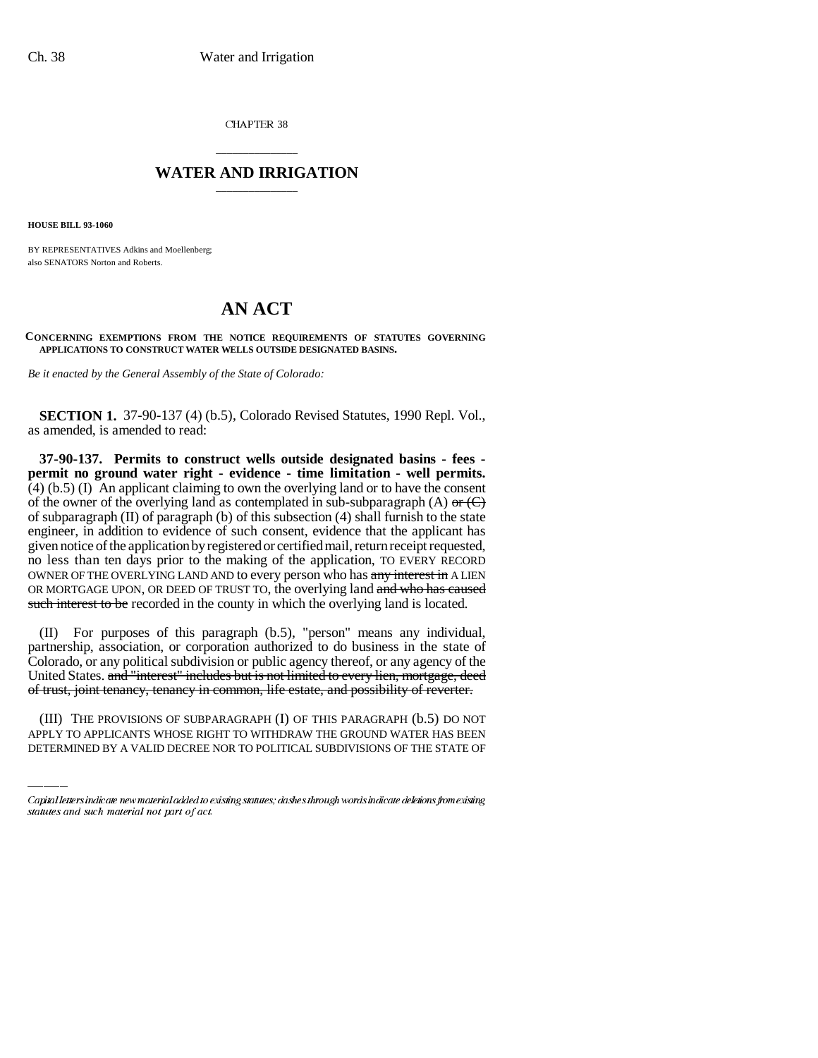CHAPTER 38

## \_\_\_\_\_\_\_\_\_\_\_\_\_\_\_ **WATER AND IRRIGATION** \_\_\_\_\_\_\_\_\_\_\_\_\_\_\_

**HOUSE BILL 93-1060**

BY REPRESENTATIVES Adkins and Moellenberg; also SENATORS Norton and Roberts.

## **AN ACT**

**CONCERNING EXEMPTIONS FROM THE NOTICE REQUIREMENTS OF STATUTES GOVERNING APPLICATIONS TO CONSTRUCT WATER WELLS OUTSIDE DESIGNATED BASINS.**

*Be it enacted by the General Assembly of the State of Colorado:*

**SECTION 1.** 37-90-137 (4) (b.5), Colorado Revised Statutes, 1990 Repl. Vol., as amended, is amended to read:

**37-90-137. Permits to construct wells outside designated basins - fees permit no ground water right - evidence - time limitation - well permits.**  $(4)$  (b.5) (I) An applicant claiming to own the overlying land or to have the consent of the owner of the overlying land as contemplated in sub-subparagraph (A) or  $(\text{C})$ of subparagraph  $(II)$  of paragraph  $(b)$  of this subsection  $(4)$  shall furnish to the state engineer, in addition to evidence of such consent, evidence that the applicant has given notice of the application by registered or certified mail, return receipt requested, no less than ten days prior to the making of the application, TO EVERY RECORD OWNER OF THE OVERLYING LAND AND to every person who has any interest in A LIEN OR MORTGAGE UPON, OR DEED OF TRUST TO, the overlying land and who has caused such interest to be recorded in the county in which the overlying land is located.

of trust, joint tenancy, tenancy in common, life estate, and possibility of reverter. (II) For purposes of this paragraph (b.5), "person" means any individual, partnership, association, or corporation authorized to do business in the state of Colorado, or any political subdivision or public agency thereof, or any agency of the United States. and "interest" includes but is not limited to every lien, mortgage, deed

(III) THE PROVISIONS OF SUBPARAGRAPH (I) OF THIS PARAGRAPH (b.5) DO NOT APPLY TO APPLICANTS WHOSE RIGHT TO WITHDRAW THE GROUND WATER HAS BEEN DETERMINED BY A VALID DECREE NOR TO POLITICAL SUBDIVISIONS OF THE STATE OF

Capital letters indicate new material added to existing statutes; dashes through words indicate deletions from existing statutes and such material not part of act.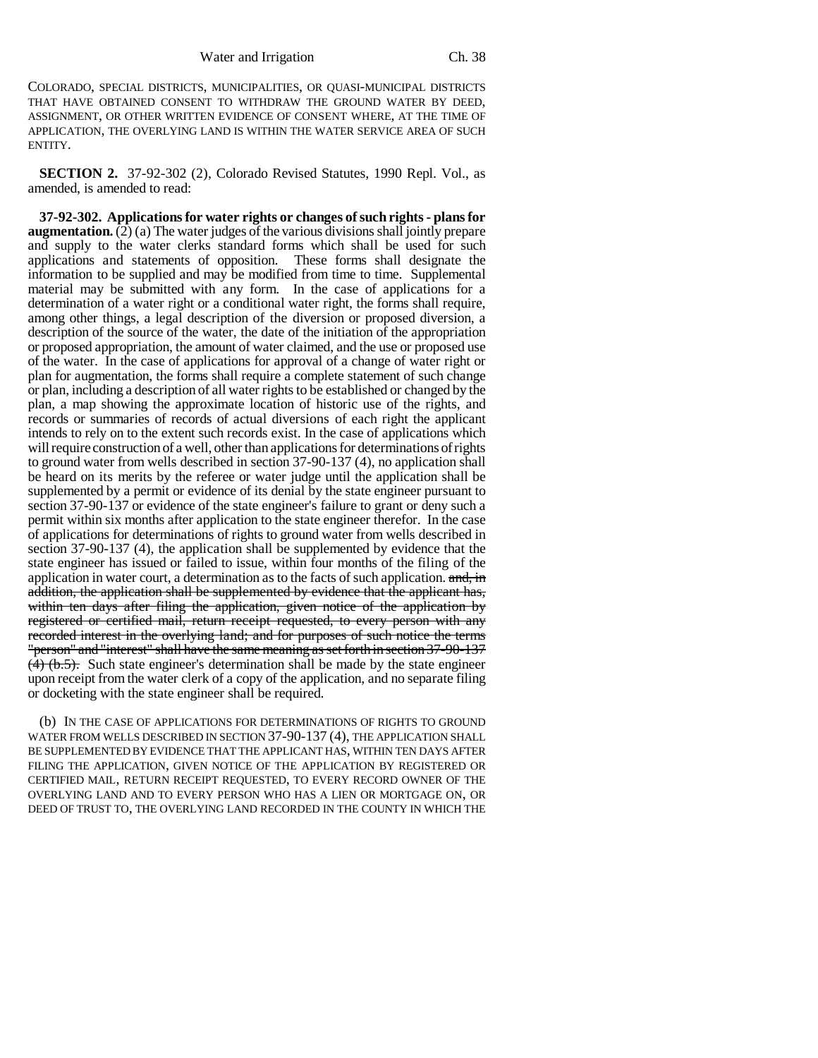COLORADO, SPECIAL DISTRICTS, MUNICIPALITIES, OR QUASI-MUNICIPAL DISTRICTS THAT HAVE OBTAINED CONSENT TO WITHDRAW THE GROUND WATER BY DEED, ASSIGNMENT, OR OTHER WRITTEN EVIDENCE OF CONSENT WHERE, AT THE TIME OF APPLICATION, THE OVERLYING LAND IS WITHIN THE WATER SERVICE AREA OF SUCH ENTITY.

**SECTION 2.** 37-92-302 (2), Colorado Revised Statutes, 1990 Repl. Vol., as amended, is amended to read:

**37-92-302. Applications for water rights or changes of such rights - plans for augmentation.** (2) (a) The water judges of the various divisions shall jointly prepare and supply to the water clerks standard forms which shall be used for such applications and statements of opposition. These forms shall designate the information to be supplied and may be modified from time to time. Supplemental material may be submitted with any form. In the case of applications for a determination of a water right or a conditional water right, the forms shall require, among other things, a legal description of the diversion or proposed diversion, a description of the source of the water, the date of the initiation of the appropriation or proposed appropriation, the amount of water claimed, and the use or proposed use of the water. In the case of applications for approval of a change of water right or plan for augmentation, the forms shall require a complete statement of such change or plan, including a description of all water rights to be established or changed by the plan, a map showing the approximate location of historic use of the rights, and records or summaries of records of actual diversions of each right the applicant intends to rely on to the extent such records exist. In the case of applications which will require construction of a well, other than applications for determinations of rights to ground water from wells described in section 37-90-137 (4), no application shall be heard on its merits by the referee or water judge until the application shall be supplemented by a permit or evidence of its denial by the state engineer pursuant to section 37-90-137 or evidence of the state engineer's failure to grant or deny such a permit within six months after application to the state engineer therefor. In the case of applications for determinations of rights to ground water from wells described in section 37-90-137 (4), the application shall be supplemented by evidence that the state engineer has issued or failed to issue, within four months of the filing of the application in water court, a determination as to the facts of such application. and, in addition, the application shall be supplemented by evidence that the applicant has, within ten days after filing the application, given notice of the application by registered or certified mail, return receipt requested, to every person with any recorded interest in the overlying land; and for purposes of such notice the terms "person" and "interest" shall have the same meaning as set forth in section 37-90-137  $(4)$  (b.5). Such state engineer's determination shall be made by the state engineer upon receipt from the water clerk of a copy of the application, and no separate filing or docketing with the state engineer shall be required.

(b) IN THE CASE OF APPLICATIONS FOR DETERMINATIONS OF RIGHTS TO GROUND WATER FROM WELLS DESCRIBED IN SECTION 37-90-137 (4), THE APPLICATION SHALL BE SUPPLEMENTED BY EVIDENCE THAT THE APPLICANT HAS, WITHIN TEN DAYS AFTER FILING THE APPLICATION, GIVEN NOTICE OF THE APPLICATION BY REGISTERED OR CERTIFIED MAIL, RETURN RECEIPT REQUESTED, TO EVERY RECORD OWNER OF THE OVERLYING LAND AND TO EVERY PERSON WHO HAS A LIEN OR MORTGAGE ON, OR DEED OF TRUST TO, THE OVERLYING LAND RECORDED IN THE COUNTY IN WHICH THE